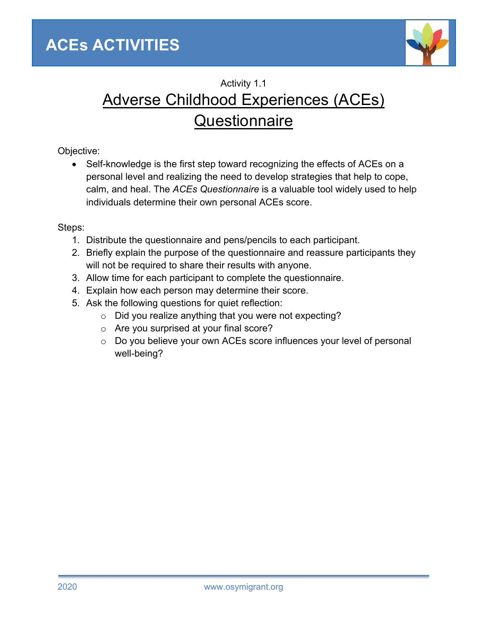

## Activity 1.1 Adverse Childhood Experiences (ACEs) **Questionnaire**

Objective:

• Self-knowledge is the first step toward recognizing the effects of ACEs on a personal level and realizing the need to develop strategies that help to cope, calm, and heal. The *ACEs Questionnaire* is a valuable tool widely used to help individuals determine their own personal ACEs score.

Steps:

- 1. Distribute the questionnaire and pens/pencils to each participant.
- 2. Briefly explain the purpose of the questionnaire and reassure participants they will not be required to share their results with anyone.
- 3. Allow time for each participant to complete the questionnaire.
- 4. Explain how each person may determine their score.
- 5. Ask the following questions for quiet reflection:
	- o Did you realize anything that you were not expecting?
	- o Are you surprised at your final score?
	- o Do you believe your own ACEs score influences your level of personal well-being?